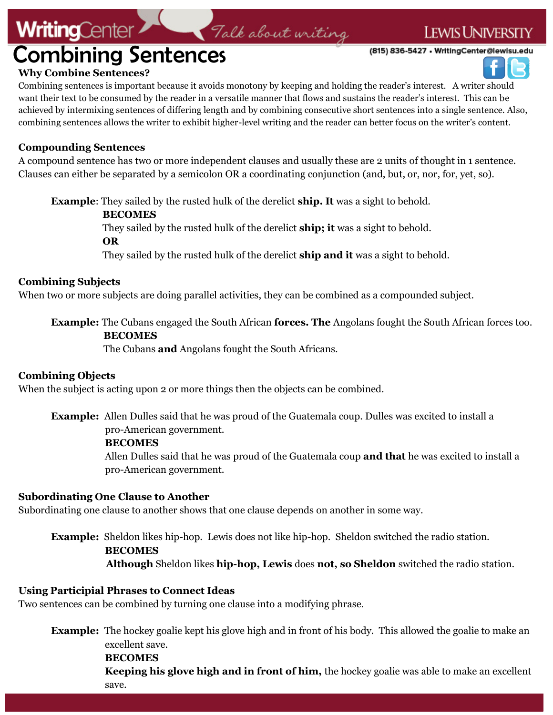## **LEWIS UNIVERSITY**

(815) 836-5427 . WritingCenter@lewisu.edu



#### **Why Combine Sentences?**

**WritingCenter** 

Combining sentences is important because it avoids monotony by keeping and holding the reader's interest. A writer should want their text to be consumed by the reader in a versatile manner that flows and sustains the reader's interest. This can be achieved by intermixing sentences of differing length and by combining consecutive short sentences into a single sentence. Also, combining sentences allows the writer to exhibit higher-level writing and the reader can better focus on the writer's content.

Talk about writing

#### **Compounding Sentences**

A compound sentence has two or more independent clauses and usually these are 2 units of thought in 1 sentence. Clauses can either be separated by a semicolon OR a coordinating conjunction (and, but, or, nor, for, yet, so).

**Example**: They sailed by the rusted hulk of the derelict **ship. It** was a sight to behold.

#### **BECOMES**

They sailed by the rusted hulk of the derelict **ship; it** was a sight to behold.

**OR**

They sailed by the rusted hulk of the derelict **ship and it** was a sight to behold.

#### **Combining Subjects**

When two or more subjects are doing parallel activities, they can be combined as a compounded subject.

## **Example:** The Cubans engaged the South African **forces. The** Angolans fought the South African forces too.

#### **BECOMES**

The Cubans **and** Angolans fought the South Africans.

#### **Combining Objects**

When the subject is acting upon 2 or more things then the objects can be combined.

**Example:** Allen Dulles said that he was proud of the Guatemala coup. Dulles was excited to install a pro-American government.

#### **BECOMES**

 Allen Dulles said that he was proud of the Guatemala coup **and that** he was excited to install a pro-American government.

#### **Subordinating One Clause to Another**

Subordinating one clause to another shows that one clause depends on another in some way.

## **Example:** Sheldon likes hip-hop. Lewis does not like hip-hop. Sheldon switched the radio station. **BECOMES Although** Sheldon likes **hip-hop, Lewis** does **not, so Sheldon** switched the radio station.

#### **Using Participial Phrases to Connect Ideas**

Two sentences can be combined by turning one clause into a modifying phrase.

**Example:** The hockey goalie kept his glove high and in front of his body. This allowed the goalie to make an excellent save.

 **BECOMES Keeping his glove high and in front of him,** the hockey goalie was able to make an excellent save.